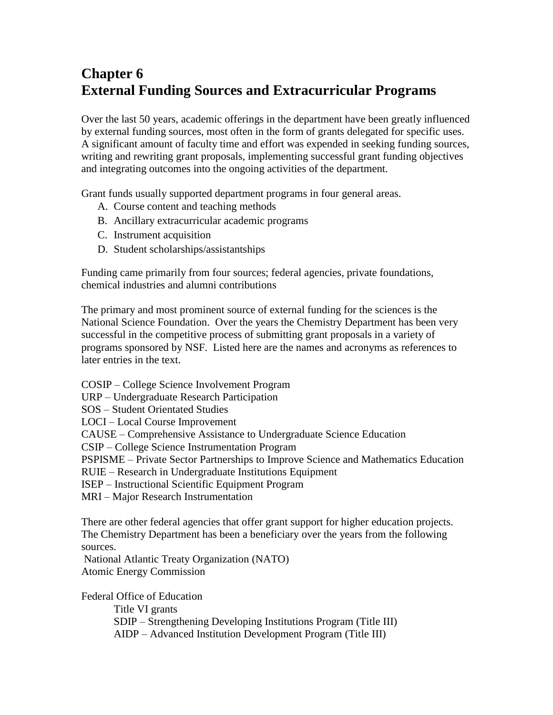# **Chapter 6 External Funding Sources and Extracurricular Programs**

Over the last 50 years, academic offerings in the department have been greatly influenced by external funding sources, most often in the form of grants delegated for specific uses. A significant amount of faculty time and effort was expended in seeking funding sources, writing and rewriting grant proposals, implementing successful grant funding objectives and integrating outcomes into the ongoing activities of the department.

Grant funds usually supported department programs in four general areas.

- A. Course content and teaching methods
- B. Ancillary extracurricular academic programs
- C. Instrument acquisition
- D. Student scholarships/assistantships

Funding came primarily from four sources; federal agencies, private foundations, chemical industries and alumni contributions

The primary and most prominent source of external funding for the sciences is the National Science Foundation. Over the years the Chemistry Department has been very successful in the competitive process of submitting grant proposals in a variety of programs sponsored by NSF. Listed here are the names and acronyms as references to later entries in the text.

COSIP – College Science Involvement Program

URP – Undergraduate Research Participation

SOS – Student Orientated Studies

LOCI – Local Course Improvement

CAUSE – Comprehensive Assistance to Undergraduate Science Education

CSIP – College Science Instrumentation Program

PSPISME – Private Sector Partnerships to Improve Science and Mathematics Education

RUIE – Research in Undergraduate Institutions Equipment

ISEP – Instructional Scientific Equipment Program

MRI – Major Research Instrumentation

There are other federal agencies that offer grant support for higher education projects. The Chemistry Department has been a beneficiary over the years from the following sources.

National Atlantic Treaty Organization (NATO) Atomic Energy Commission

Federal Office of Education

Title VI grants SDIP – Strengthening Developing Institutions Program (Title III) AIDP – Advanced Institution Development Program (Title III)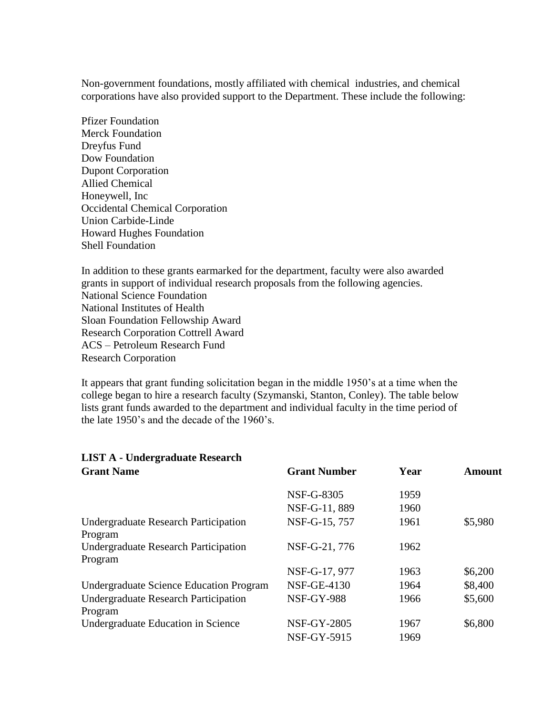Non-government foundations, mostly affiliated with chemical industries, and chemical corporations have also provided support to the Department. These include the following:

Pfizer Foundation Merck Foundation Dreyfus Fund Dow Foundation Dupont Corporation Allied Chemical Honeywell, Inc Occidental Chemical Corporation Union Carbide-Linde Howard Hughes Foundation Shell Foundation

In addition to these grants earmarked for the department, faculty were also awarded grants in support of individual research proposals from the following agencies. National Science Foundation National Institutes of Health Sloan Foundation Fellowship Award Research Corporation Cottrell Award ACS – Petroleum Research Fund Research Corporation

It appears that grant funding solicitation began in the middle 1950's at a time when the college began to hire a research faculty (Szymanski, Stanton, Conley). The table below lists grant funds awarded to the department and individual faculty in the time period of the late 1950's and the decade of the 1960's.

| LIST A - Undergraduate Research                        |                     |      |               |
|--------------------------------------------------------|---------------------|------|---------------|
| <b>Grant Name</b>                                      | <b>Grant Number</b> | Year | <b>Amount</b> |
|                                                        | NSF-G-8305          | 1959 |               |
|                                                        | NSF-G-11, 889       | 1960 |               |
| Undergraduate Research Participation<br>Program        | NSF-G-15, 757       | 1961 | \$5,980       |
| Undergraduate Research Participation<br>Program        | NSF-G-21, 776       | 1962 |               |
|                                                        | NSF-G-17, 977       | 1963 | \$6,200       |
| Undergraduate Science Education Program                | <b>NSF-GE-4130</b>  | 1964 | \$8,400       |
| <b>Undergraduate Research Participation</b><br>Program | <b>NSF-GY-988</b>   | 1966 | \$5,600       |
| Undergraduate Education in Science                     | <b>NSF-GY-2805</b>  | 1967 | \$6,800       |
|                                                        | <b>NSF-GY-5915</b>  | 1969 |               |

# **LIST A - Undergraduate Research**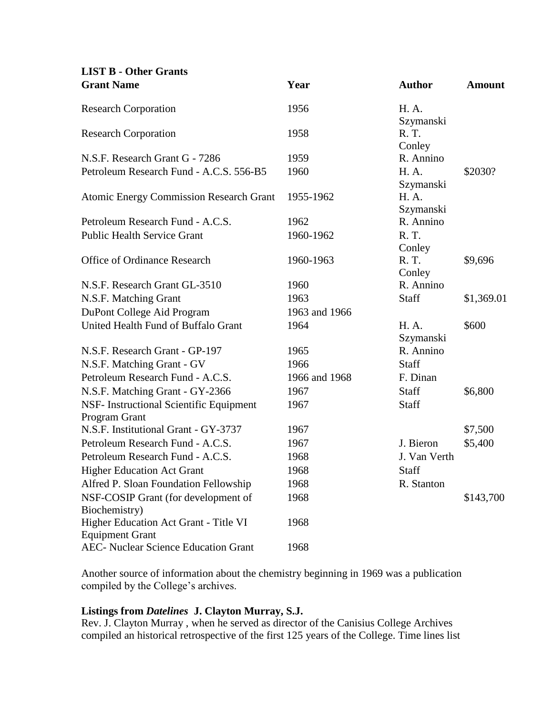# **LIST B - Other Grants**

| <b>Grant Name</b>                              | Year          | <b>Author</b>          | <b>Amount</b> |
|------------------------------------------------|---------------|------------------------|---------------|
| <b>Research Corporation</b>                    | 1956          | H. A.                  |               |
|                                                |               | Szymanski              |               |
| <b>Research Corporation</b>                    | 1958          | R. T.                  |               |
|                                                |               | Conley                 |               |
| N.S.F. Research Grant G - 7286                 | 1959          | R. Annino              |               |
| Petroleum Research Fund - A.C.S. 556-B5        | 1960          | H. A.                  | \$2030?       |
|                                                |               | Szymanski              |               |
| <b>Atomic Energy Commission Research Grant</b> | 1955-1962     | H. A.                  |               |
| Petroleum Research Fund - A.C.S.               | 1962          | Szymanski<br>R. Annino |               |
| <b>Public Health Service Grant</b>             | 1960-1962     | R. T.                  |               |
|                                                |               | Conley                 |               |
| Office of Ordinance Research                   | 1960-1963     | R. T.                  | \$9,696       |
|                                                |               | Conley                 |               |
| N.S.F. Research Grant GL-3510                  | 1960          | R. Annino              |               |
| N.S.F. Matching Grant                          | 1963          | Staff                  | \$1,369.01    |
| DuPont College Aid Program                     | 1963 and 1966 |                        |               |
| United Health Fund of Buffalo Grant            | 1964          | H. A.                  | \$600         |
|                                                |               | Szymanski              |               |
| N.S.F. Research Grant - GP-197                 | 1965          | R. Annino              |               |
| N.S.F. Matching Grant - GV                     | 1966          | Staff                  |               |
| Petroleum Research Fund - A.C.S.               | 1966 and 1968 | F. Dinan               |               |
| N.S.F. Matching Grant - GY-2366                | 1967          | Staff                  | \$6,800       |
| NSF- Instructional Scientific Equipment        | 1967          | Staff                  |               |
| Program Grant                                  |               |                        |               |
| N.S.F. Institutional Grant - GY-3737           | 1967          |                        | \$7,500       |
| Petroleum Research Fund - A.C.S.               | 1967          | J. Bieron              | \$5,400       |
| Petroleum Research Fund - A.C.S.               | 1968          | J. Van Verth           |               |
| <b>Higher Education Act Grant</b>              | 1968          | Staff                  |               |
| Alfred P. Sloan Foundation Fellowship          | 1968          | R. Stanton             |               |
| NSF-COSIP Grant (for development of            | 1968          |                        | \$143,700     |
| Biochemistry)                                  |               |                        |               |
| Higher Education Act Grant - Title VI          | 1968          |                        |               |
| <b>Equipment Grant</b>                         |               |                        |               |
| <b>AEC- Nuclear Science Education Grant</b>    | 1968          |                        |               |

Another source of information about the chemistry beginning in 1969 was a publication compiled by the College's archives.

# **Listings from** *Datelines* **J. Clayton Murray, S.J.**

Rev. J. Clayton Murray , when he served as director of the Canisius College Archives compiled an historical retrospective of the first 125 years of the College. Time lines list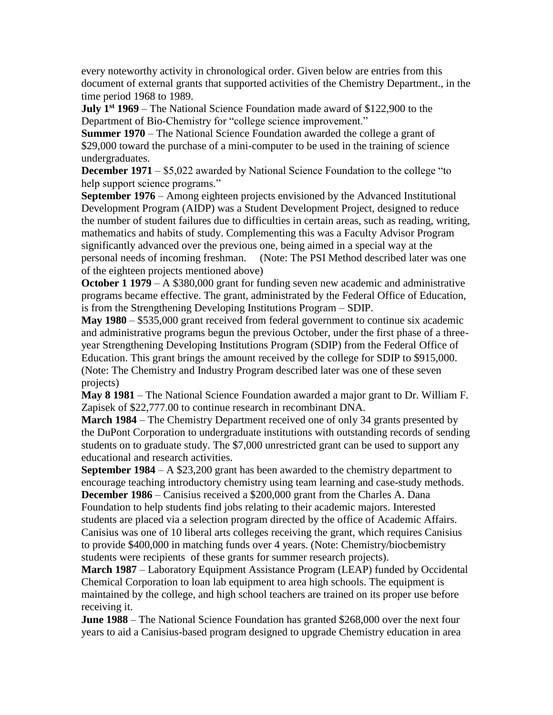every noteworthy activity in chronological order. Given below are entries from this document of external grants that supported activities of the Chemistry Department., in the time period 1968 to 1989.

**July 1st 1969** – The National Science Foundation made award of \$122,900 to the Department of Bio-Chemistry for "college science improvement."

**Summer 1970** – The National Science Foundation awarded the college a grant of \$29,000 toward the purchase of a mini-computer to be used in the training of science undergraduates.

**December 1971** – \$5,022 awarded by National Science Foundation to the college "to help support science programs."

**September 1976** – Among eighteen projects envisioned by the Advanced Institutional Development Program (AIDP) was a Student Development Project, designed to reduce the number of student failures due to difficulties in certain areas, such as reading, writing, mathematics and habits of study. Complementing this was a Faculty Advisor Program significantly advanced over the previous one, being aimed in a special way at the personal needs of incoming freshman. (Note: The PSI Method described later was one of the eighteen projects mentioned above)

**October 1 1979** – A \$380,000 grant for funding seven new academic and administrative programs became effective. The grant, administrated by the Federal Office of Education, is from the Strengthening Developing Institutions Program – SDIP.

**May 1980** – \$535,000 grant received from federal government to continue six academic and administrative programs begun the previous October, under the first phase of a threeyear Strengthening Developing Institutions Program (SDIP) from the Federal Office of Education. This grant brings the amount received by the college for SDIP to \$915,000. (Note: The Chemistry and Industry Program described later was one of these seven projects)

**May 8 1981** – The National Science Foundation awarded a major grant to Dr. William F. Zapisek of \$22,777.00 to continue research in recombinant DNA.

**March 1984** – The Chemistry Department received one of only 34 grants presented by the DuPont Corporation to undergraduate institutions with outstanding records of sending students on to graduate study. The \$7,000 unrestricted grant can be used to support any educational and research activities.

**September 1984** – A \$23,200 grant has been awarded to the chemistry department to encourage teaching introductory chemistry using team learning and case-study methods.

**December 1986** – Canisius received a \$200,000 grant from the Charles A. Dana Foundation to help students find jobs relating to their academic majors. Interested students are placed via a selection program directed by the office of Academic Affairs. Canisius was one of 10 liberal arts colleges receiving the grant, which requires Canisius to provide \$400,000 in matching funds over 4 years. (Note: Chemistry/biocbemistry students were recipients of these grants for summer research projects).

**March 1987** – Laboratory Equipment Assistance Program (LEAP) funded by Occidental Chemical Corporation to loan lab equipment to area high schools. The equipment is maintained by the college, and high school teachers are trained on its proper use before receiving it.

**June 1988** – The National Science Foundation has granted \$268,000 over the next four years to aid a Canisius-based program designed to upgrade Chemistry education in area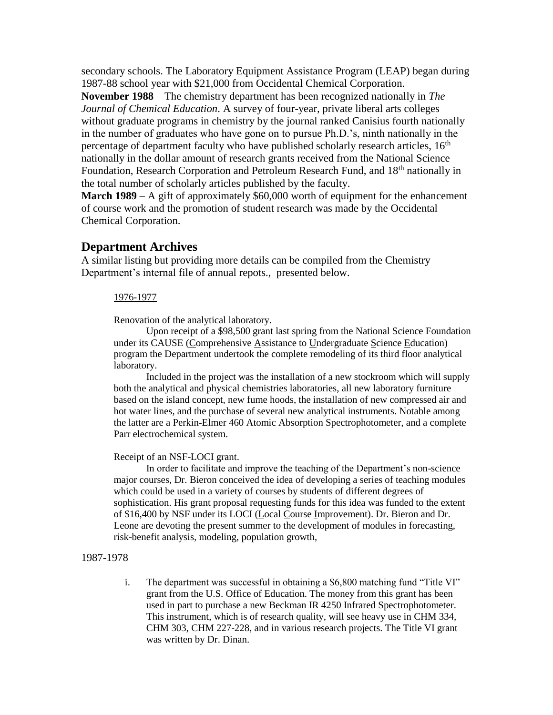secondary schools. The Laboratory Equipment Assistance Program (LEAP) began during 1987-88 school year with \$21,000 from Occidental Chemical Corporation.

**November 1988** – The chemistry department has been recognized nationally in *The Journal of Chemical Education*. A survey of four-year, private liberal arts colleges without graduate programs in chemistry by the journal ranked Canisius fourth nationally in the number of graduates who have gone on to pursue Ph.D.'s, ninth nationally in the percentage of department faculty who have published scholarly research articles,  $16<sup>th</sup>$ nationally in the dollar amount of research grants received from the National Science Foundation, Research Corporation and Petroleum Research Fund, and 18<sup>th</sup> nationally in the total number of scholarly articles published by the faculty.

**March 1989** – A gift of approximately \$60,000 worth of equipment for the enhancement of course work and the promotion of student research was made by the Occidental Chemical Corporation.

# **Department Archives**

A similar listing but providing more details can be compiled from the Chemistry Department's internal file of annual repots., presented below.

#### 1976-1977

Renovation of the analytical laboratory.

Upon receipt of a \$98,500 grant last spring from the National Science Foundation under its CAUSE (Comprehensive Assistance to Undergraduate Science Education) program the Department undertook the complete remodeling of its third floor analytical laboratory.

Included in the project was the installation of a new stockroom which will supply both the analytical and physical chemistries laboratories, all new laboratory furniture based on the island concept, new fume hoods, the installation of new compressed air and hot water lines, and the purchase of several new analytical instruments. Notable among the latter are a Perkin-Elmer 460 Atomic Absorption Spectrophotometer, and a complete Parr electrochemical system.

#### Receipt of an NSF-LOCI grant.

In order to facilitate and improve the teaching of the Department's non-science major courses, Dr. Bieron conceived the idea of developing a series of teaching modules which could be used in a variety of courses by students of different degrees of sophistication. His grant proposal requesting funds for this idea was funded to the extent of \$16,400 by NSF under its LOCI (Local Course Improvement). Dr. Bieron and Dr. Leone are devoting the present summer to the development of modules in forecasting, risk-benefit analysis, modeling, population growth,

#### 1987-1978

i. The department was successful in obtaining a \$6,800 matching fund "Title VI" grant from the U.S. Office of Education. The money from this grant has been used in part to purchase a new Beckman IR 4250 Infrared Spectrophotometer. This instrument, which is of research quality, will see heavy use in CHM 334, CHM 303, CHM 227-228, and in various research projects. The Title VI grant was written by Dr. Dinan.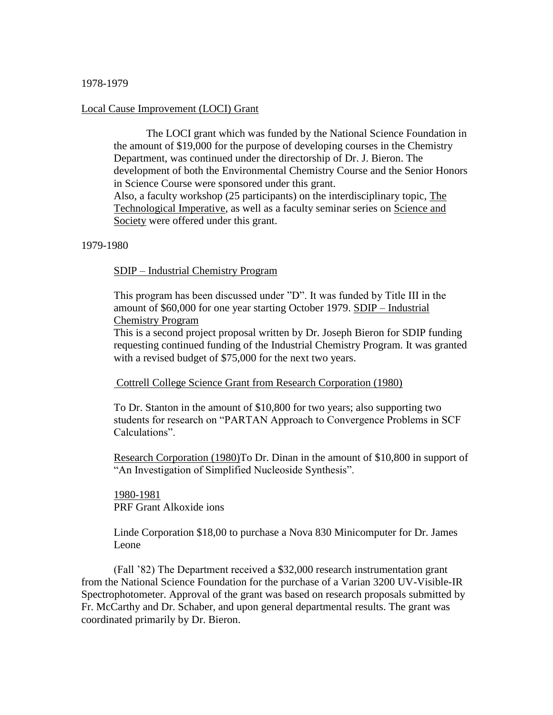# 1978-1979

# Local Cause Improvement (LOCI) Grant

The LOCI grant which was funded by the National Science Foundation in the amount of \$19,000 for the purpose of developing courses in the Chemistry Department, was continued under the directorship of Dr. J. Bieron. The development of both the Environmental Chemistry Course and the Senior Honors in Science Course were sponsored under this grant. Also, a faculty workshop (25 participants) on the interdisciplinary topic, The Technological Imperative, as well as a faculty seminar series on Science and Society were offered under this grant.

# 1979-1980

# SDIP – Industrial Chemistry Program

This program has been discussed under "D". It was funded by Title III in the amount of \$60,000 for one year starting October 1979. SDIP – Industrial Chemistry Program

This is a second project proposal written by Dr. Joseph Bieron for SDIP funding requesting continued funding of the Industrial Chemistry Program. It was granted with a revised budget of \$75,000 for the next two years.

# Cottrell College Science Grant from Research Corporation (1980)

To Dr. Stanton in the amount of \$10,800 for two years; also supporting two students for research on "PARTAN Approach to Convergence Problems in SCF Calculations".

Research Corporation (1980)To Dr. Dinan in the amount of \$10,800 in support of "An Investigation of Simplified Nucleoside Synthesis".

1980-1981 PRF Grant Alkoxide ions

Linde Corporation \$18,00 to purchase a Nova 830 Minicomputer for Dr. James Leone

(Fall '82) The Department received a \$32,000 research instrumentation grant from the National Science Foundation for the purchase of a Varian 3200 UV-Visible-IR Spectrophotometer. Approval of the grant was based on research proposals submitted by Fr. McCarthy and Dr. Schaber, and upon general departmental results. The grant was coordinated primarily by Dr. Bieron.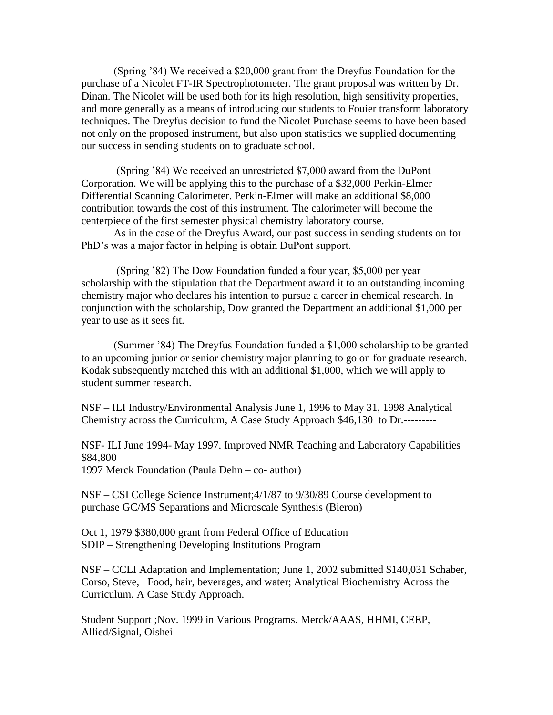(Spring '84) We received a \$20,000 grant from the Dreyfus Foundation for the purchase of a Nicolet FT-IR Spectrophotometer. The grant proposal was written by Dr. Dinan. The Nicolet will be used both for its high resolution, high sensitivity properties, and more generally as a means of introducing our students to Fouier transform laboratory techniques. The Dreyfus decision to fund the Nicolet Purchase seems to have been based not only on the proposed instrument, but also upon statistics we supplied documenting our success in sending students on to graduate school.

(Spring '84) We received an unrestricted \$7,000 award from the DuPont Corporation. We will be applying this to the purchase of a \$32,000 Perkin-Elmer Differential Scanning Calorimeter. Perkin-Elmer will make an additional \$8,000 contribution towards the cost of this instrument. The calorimeter will become the centerpiece of the first semester physical chemistry laboratory course.

As in the case of the Dreyfus Award, our past success in sending students on for PhD's was a major factor in helping is obtain DuPont support.

(Spring '82) The Dow Foundation funded a four year, \$5,000 per year scholarship with the stipulation that the Department award it to an outstanding incoming chemistry major who declares his intention to pursue a career in chemical research. In conjunction with the scholarship, Dow granted the Department an additional \$1,000 per year to use as it sees fit.

(Summer '84) The Dreyfus Foundation funded a \$1,000 scholarship to be granted to an upcoming junior or senior chemistry major planning to go on for graduate research. Kodak subsequently matched this with an additional \$1,000, which we will apply to student summer research.

NSF – ILI Industry/Environmental Analysis June 1, 1996 to May 31, 1998 Analytical Chemistry across the Curriculum, A Case Study Approach \$46,130 to Dr.---------

NSF- ILI June 1994- May 1997. Improved NMR Teaching and Laboratory Capabilities \$84,800

1997 Merck Foundation (Paula Dehn – co- author)

NSF – CSI College Science Instrument;4/1/87 to 9/30/89 Course development to purchase GC/MS Separations and Microscale Synthesis (Bieron)

Oct 1, 1979 \$380,000 grant from Federal Office of Education SDIP – Strengthening Developing Institutions Program

NSF – CCLI Adaptation and Implementation; June 1, 2002 submitted \$140,031 Schaber, Corso, Steve, Food, hair, beverages, and water; Analytical Biochemistry Across the Curriculum. A Case Study Approach.

Student Support ;Nov. 1999 in Various Programs. Merck/AAAS, HHMI, CEEP, Allied/Signal, Oishei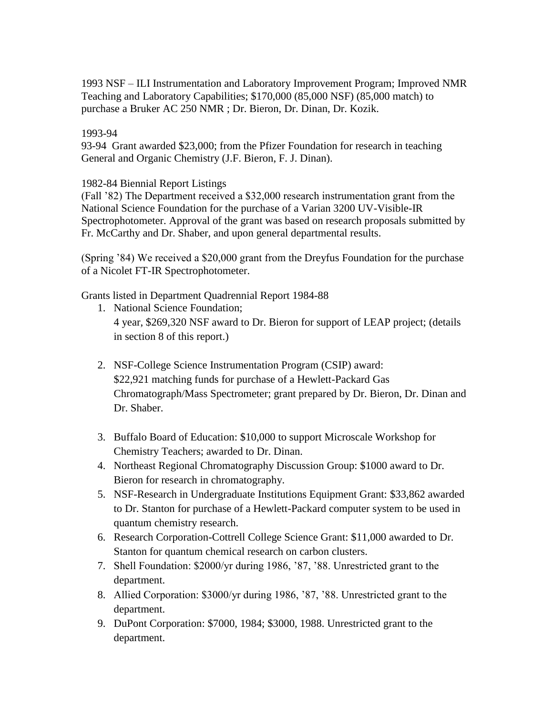1993 NSF – ILI Instrumentation and Laboratory Improvement Program; Improved NMR Teaching and Laboratory Capabilities; \$170,000 (85,000 NSF) (85,000 match) to purchase a Bruker AC 250 NMR ; Dr. Bieron, Dr. Dinan, Dr. Kozik.

# 1993-94

93-94 Grant awarded \$23,000; from the Pfizer Foundation for research in teaching General and Organic Chemistry (J.F. Bieron, F. J. Dinan).

# 1982-84 Biennial Report Listings

(Fall '82) The Department received a \$32,000 research instrumentation grant from the National Science Foundation for the purchase of a Varian 3200 UV-Visible-IR Spectrophotometer. Approval of the grant was based on research proposals submitted by Fr. McCarthy and Dr. Shaber, and upon general departmental results.

(Spring '84) We received a \$20,000 grant from the Dreyfus Foundation for the purchase of a Nicolet FT-IR Spectrophotometer.

Grants listed in Department Quadrennial Report 1984-88

- 1. National Science Foundation; 4 year, \$269,320 NSF award to Dr. Bieron for support of LEAP project; (details in section 8 of this report.)
- 2. NSF-College Science Instrumentation Program (CSIP) award: \$22,921 matching funds for purchase of a Hewlett-Packard Gas Chromatograph/Mass Spectrometer; grant prepared by Dr. Bieron, Dr. Dinan and Dr. Shaber.
- 3. Buffalo Board of Education: \$10,000 to support Microscale Workshop for Chemistry Teachers; awarded to Dr. Dinan.
- 4. Northeast Regional Chromatography Discussion Group: \$1000 award to Dr. Bieron for research in chromatography.
- 5. NSF-Research in Undergraduate Institutions Equipment Grant: \$33,862 awarded to Dr. Stanton for purchase of a Hewlett-Packard computer system to be used in quantum chemistry research.
- 6. Research Corporation-Cottrell College Science Grant: \$11,000 awarded to Dr. Stanton for quantum chemical research on carbon clusters.
- 7. Shell Foundation: \$2000/yr during 1986, '87, '88. Unrestricted grant to the department.
- 8. Allied Corporation: \$3000/yr during 1986, '87, '88. Unrestricted grant to the department.
- 9. DuPont Corporation: \$7000, 1984; \$3000, 1988. Unrestricted grant to the department.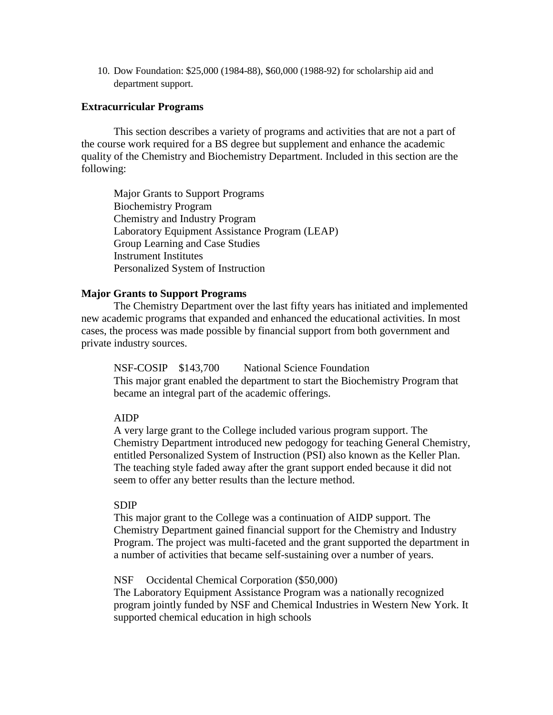10. Dow Foundation: \$25,000 (1984-88), \$60,000 (1988-92) for scholarship aid and department support.

#### **Extracurricular Programs**

This section describes a variety of programs and activities that are not a part of the course work required for a BS degree but supplement and enhance the academic quality of the Chemistry and Biochemistry Department. Included in this section are the following:

Major Grants to Support Programs Biochemistry Program Chemistry and Industry Program Laboratory Equipment Assistance Program (LEAP) Group Learning and Case Studies Instrument Institutes Personalized System of Instruction

# **Major Grants to Support Programs**

The Chemistry Department over the last fifty years has initiated and implemented new academic programs that expanded and enhanced the educational activities. In most cases, the process was made possible by financial support from both government and private industry sources.

NSF-COSIP \$143,700 National Science Foundation This major grant enabled the department to start the Biochemistry Program that became an integral part of the academic offerings.

#### AIDP

A very large grant to the College included various program support. The Chemistry Department introduced new pedogogy for teaching General Chemistry, entitled Personalized System of Instruction (PSI) also known as the Keller Plan. The teaching style faded away after the grant support ended because it did not seem to offer any better results than the lecture method.

#### SDIP

This major grant to the College was a continuation of AIDP support. The Chemistry Department gained financial support for the Chemistry and Industry Program. The project was multi-faceted and the grant supported the department in a number of activities that became self-sustaining over a number of years.

# NSF Occidental Chemical Corporation (\$50,000)

The Laboratory Equipment Assistance Program was a nationally recognized program jointly funded by NSF and Chemical Industries in Western New York. It supported chemical education in high schools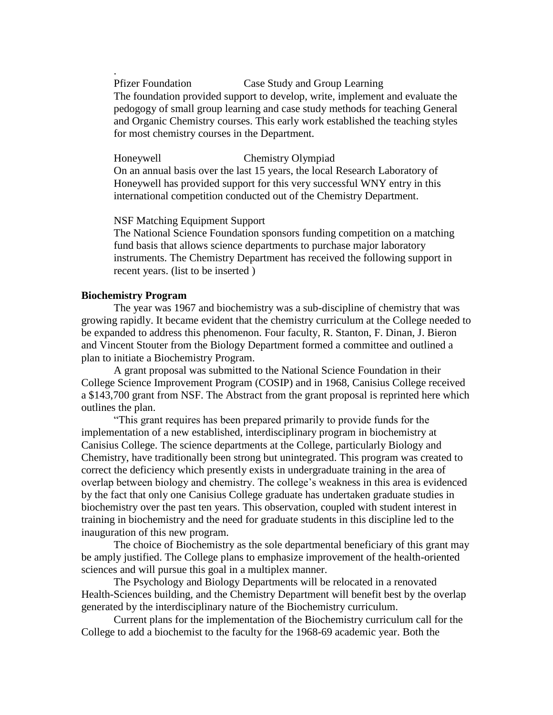Pfizer Foundation Case Study and Group Learning The foundation provided support to develop, write, implement and evaluate the pedogogy of small group learning and case study methods for teaching General and Organic Chemistry courses. This early work established the teaching styles for most chemistry courses in the Department.

Honeywell Chemistry Olympiad On an annual basis over the last 15 years, the local Research Laboratory of Honeywell has provided support for this very successful WNY entry in this international competition conducted out of the Chemistry Department.

NSF Matching Equipment Support

The National Science Foundation sponsors funding competition on a matching fund basis that allows science departments to purchase major laboratory instruments. The Chemistry Department has received the following support in recent years. (list to be inserted )

# **Biochemistry Program**

.

The year was 1967 and biochemistry was a sub-discipline of chemistry that was growing rapidly. It became evident that the chemistry curriculum at the College needed to be expanded to address this phenomenon. Four faculty, R. Stanton, F. Dinan, J. Bieron and Vincent Stouter from the Biology Department formed a committee and outlined a plan to initiate a Biochemistry Program.

A grant proposal was submitted to the National Science Foundation in their College Science Improvement Program (COSIP) and in 1968, Canisius College received a \$143,700 grant from NSF. The Abstract from the grant proposal is reprinted here which outlines the plan.

"This grant requires has been prepared primarily to provide funds for the implementation of a new established, interdisciplinary program in biochemistry at Canisius College. The science departments at the College, particularly Biology and Chemistry, have traditionally been strong but unintegrated. This program was created to correct the deficiency which presently exists in undergraduate training in the area of overlap between biology and chemistry. The college's weakness in this area is evidenced by the fact that only one Canisius College graduate has undertaken graduate studies in biochemistry over the past ten years. This observation, coupled with student interest in training in biochemistry and the need for graduate students in this discipline led to the inauguration of this new program.

The choice of Biochemistry as the sole departmental beneficiary of this grant may be amply justified. The College plans to emphasize improvement of the health-oriented sciences and will pursue this goal in a multiplex manner.

The Psychology and Biology Departments will be relocated in a renovated Health-Sciences building, and the Chemistry Department will benefit best by the overlap generated by the interdisciplinary nature of the Biochemistry curriculum.

Current plans for the implementation of the Biochemistry curriculum call for the College to add a biochemist to the faculty for the 1968-69 academic year. Both the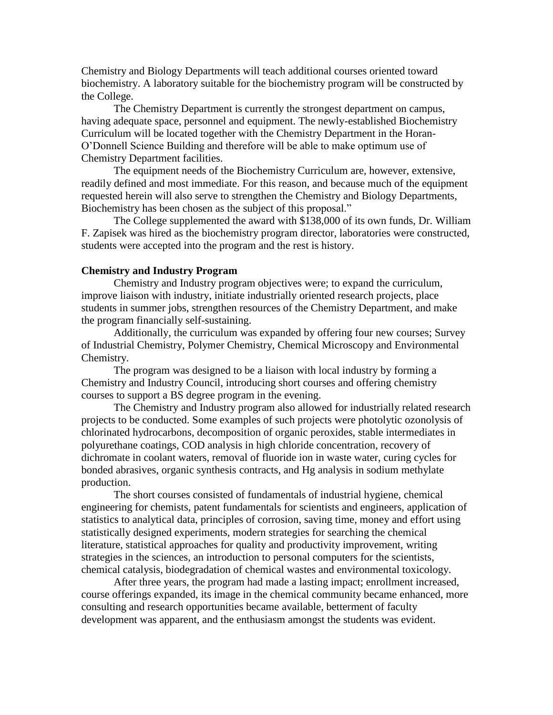Chemistry and Biology Departments will teach additional courses oriented toward biochemistry. A laboratory suitable for the biochemistry program will be constructed by the College.

The Chemistry Department is currently the strongest department on campus, having adequate space, personnel and equipment. The newly-established Biochemistry Curriculum will be located together with the Chemistry Department in the Horan-O'Donnell Science Building and therefore will be able to make optimum use of Chemistry Department facilities.

The equipment needs of the Biochemistry Curriculum are, however, extensive, readily defined and most immediate. For this reason, and because much of the equipment requested herein will also serve to strengthen the Chemistry and Biology Departments, Biochemistry has been chosen as the subject of this proposal."

The College supplemented the award with \$138,000 of its own funds, Dr. William F. Zapisek was hired as the biochemistry program director, laboratories were constructed, students were accepted into the program and the rest is history.

#### **Chemistry and Industry Program**

Chemistry and Industry program objectives were; to expand the curriculum, improve liaison with industry, initiate industrially oriented research projects, place students in summer jobs, strengthen resources of the Chemistry Department, and make the program financially self-sustaining.

Additionally, the curriculum was expanded by offering four new courses; Survey of Industrial Chemistry, Polymer Chemistry, Chemical Microscopy and Environmental Chemistry.

The program was designed to be a liaison with local industry by forming a Chemistry and Industry Council, introducing short courses and offering chemistry courses to support a BS degree program in the evening.

The Chemistry and Industry program also allowed for industrially related research projects to be conducted. Some examples of such projects were photolytic ozonolysis of chlorinated hydrocarbons, decomposition of organic peroxides, stable intermediates in polyurethane coatings, COD analysis in high chloride concentration, recovery of dichromate in coolant waters, removal of fluoride ion in waste water, curing cycles for bonded abrasives, organic synthesis contracts, and Hg analysis in sodium methylate production.

The short courses consisted of fundamentals of industrial hygiene, chemical engineering for chemists, patent fundamentals for scientists and engineers, application of statistics to analytical data, principles of corrosion, saving time, money and effort using statistically designed experiments, modern strategies for searching the chemical literature, statistical approaches for quality and productivity improvement, writing strategies in the sciences, an introduction to personal computers for the scientists, chemical catalysis, biodegradation of chemical wastes and environmental toxicology.

After three years, the program had made a lasting impact; enrollment increased, course offerings expanded, its image in the chemical community became enhanced, more consulting and research opportunities became available, betterment of faculty development was apparent, and the enthusiasm amongst the students was evident.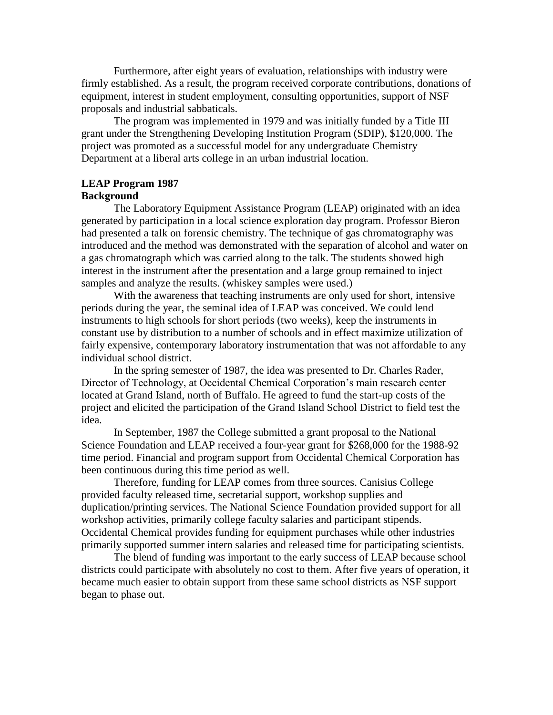Furthermore, after eight years of evaluation, relationships with industry were firmly established. As a result, the program received corporate contributions, donations of equipment, interest in student employment, consulting opportunities, support of NSF proposals and industrial sabbaticals.

The program was implemented in 1979 and was initially funded by a Title III grant under the Strengthening Developing Institution Program (SDIP), \$120,000. The project was promoted as a successful model for any undergraduate Chemistry Department at a liberal arts college in an urban industrial location.

# **LEAP Program 1987**

# **Background**

The Laboratory Equipment Assistance Program (LEAP) originated with an idea generated by participation in a local science exploration day program. Professor Bieron had presented a talk on forensic chemistry. The technique of gas chromatography was introduced and the method was demonstrated with the separation of alcohol and water on a gas chromatograph which was carried along to the talk. The students showed high interest in the instrument after the presentation and a large group remained to inject samples and analyze the results. (whiskey samples were used.)

With the awareness that teaching instruments are only used for short, intensive periods during the year, the seminal idea of LEAP was conceived. We could lend instruments to high schools for short periods (two weeks), keep the instruments in constant use by distribution to a number of schools and in effect maximize utilization of fairly expensive, contemporary laboratory instrumentation that was not affordable to any individual school district.

In the spring semester of 1987, the idea was presented to Dr. Charles Rader, Director of Technology, at Occidental Chemical Corporation's main research center located at Grand Island, north of Buffalo. He agreed to fund the start-up costs of the project and elicited the participation of the Grand Island School District to field test the idea.

In September, 1987 the College submitted a grant proposal to the National Science Foundation and LEAP received a four-year grant for \$268,000 for the 1988-92 time period. Financial and program support from Occidental Chemical Corporation has been continuous during this time period as well.

Therefore, funding for LEAP comes from three sources. Canisius College provided faculty released time, secretarial support, workshop supplies and duplication/printing services. The National Science Foundation provided support for all workshop activities, primarily college faculty salaries and participant stipends. Occidental Chemical provides funding for equipment purchases while other industries primarily supported summer intern salaries and released time for participating scientists.

The blend of funding was important to the early success of LEAP because school districts could participate with absolutely no cost to them. After five years of operation, it became much easier to obtain support from these same school districts as NSF support began to phase out.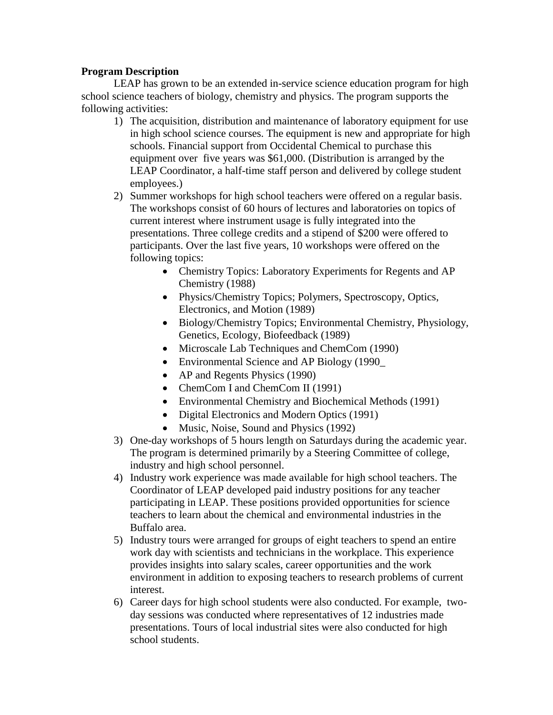# **Program Description**

LEAP has grown to be an extended in-service science education program for high school science teachers of biology, chemistry and physics. The program supports the following activities:

- 1) The acquisition, distribution and maintenance of laboratory equipment for use in high school science courses. The equipment is new and appropriate for high schools. Financial support from Occidental Chemical to purchase this equipment over five years was \$61,000. (Distribution is arranged by the LEAP Coordinator, a half-time staff person and delivered by college student employees.)
- 2) Summer workshops for high school teachers were offered on a regular basis. The workshops consist of 60 hours of lectures and laboratories on topics of current interest where instrument usage is fully integrated into the presentations. Three college credits and a stipend of \$200 were offered to participants. Over the last five years, 10 workshops were offered on the following topics:
	- Chemistry Topics: Laboratory Experiments for Regents and AP Chemistry (1988)
	- Physics/Chemistry Topics; Polymers, Spectroscopy, Optics, Electronics, and Motion (1989)
	- Biology/Chemistry Topics; Environmental Chemistry, Physiology, Genetics, Ecology, Biofeedback (1989)
	- Microscale Lab Techniques and ChemCom (1990)
	- Environmental Science and AP Biology (1990
	- AP and Regents Physics (1990)
	- ChemCom I and ChemCom II (1991)
	- Environmental Chemistry and Biochemical Methods (1991)
	- Digital Electronics and Modern Optics (1991)
	- Music, Noise, Sound and Physics (1992)
- 3) One-day workshops of 5 hours length on Saturdays during the academic year. The program is determined primarily by a Steering Committee of college, industry and high school personnel.
- 4) Industry work experience was made available for high school teachers. The Coordinator of LEAP developed paid industry positions for any teacher participating in LEAP. These positions provided opportunities for science teachers to learn about the chemical and environmental industries in the Buffalo area.
- 5) Industry tours were arranged for groups of eight teachers to spend an entire work day with scientists and technicians in the workplace. This experience provides insights into salary scales, career opportunities and the work environment in addition to exposing teachers to research problems of current interest.
- 6) Career days for high school students were also conducted. For example, twoday sessions was conducted where representatives of 12 industries made presentations. Tours of local industrial sites were also conducted for high school students.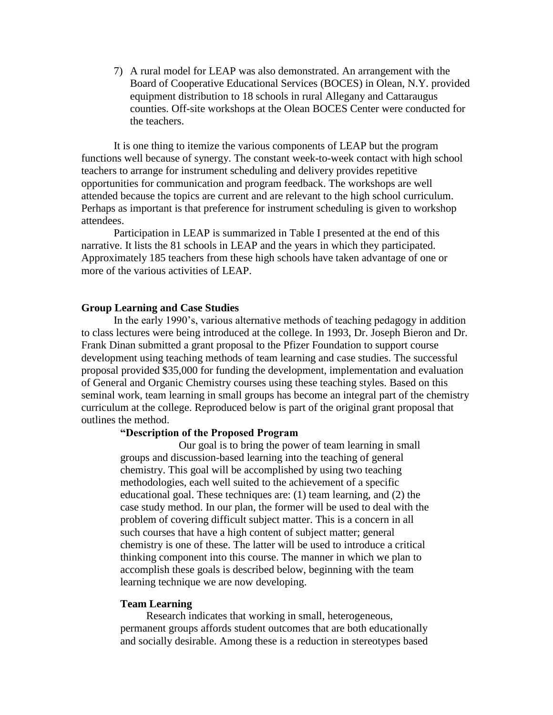7) A rural model for LEAP was also demonstrated. An arrangement with the Board of Cooperative Educational Services (BOCES) in Olean, N.Y. provided equipment distribution to 18 schools in rural Allegany and Cattaraugus counties. Off-site workshops at the Olean BOCES Center were conducted for the teachers.

It is one thing to itemize the various components of LEAP but the program functions well because of synergy. The constant week-to-week contact with high school teachers to arrange for instrument scheduling and delivery provides repetitive opportunities for communication and program feedback. The workshops are well attended because the topics are current and are relevant to the high school curriculum. Perhaps as important is that preference for instrument scheduling is given to workshop attendees.

Participation in LEAP is summarized in Table I presented at the end of this narrative. It lists the 81 schools in LEAP and the years in which they participated. Approximately 185 teachers from these high schools have taken advantage of one or more of the various activities of LEAP.

#### **Group Learning and Case Studies**

In the early 1990's, various alternative methods of teaching pedagogy in addition to class lectures were being introduced at the college. In 1993, Dr. Joseph Bieron and Dr. Frank Dinan submitted a grant proposal to the Pfizer Foundation to support course development using teaching methods of team learning and case studies. The successful proposal provided \$35,000 for funding the development, implementation and evaluation of General and Organic Chemistry courses using these teaching styles. Based on this seminal work, team learning in small groups has become an integral part of the chemistry curriculum at the college. Reproduced below is part of the original grant proposal that outlines the method.

#### **"Description of the Proposed Program**

Our goal is to bring the power of team learning in small groups and discussion-based learning into the teaching of general chemistry. This goal will be accomplished by using two teaching methodologies, each well suited to the achievement of a specific educational goal. These techniques are: (1) team learning, and (2) the case study method. In our plan, the former will be used to deal with the problem of covering difficult subject matter. This is a concern in all such courses that have a high content of subject matter; general chemistry is one of these. The latter will be used to introduce a critical thinking component into this course. The manner in which we plan to accomplish these goals is described below, beginning with the team learning technique we are now developing.

#### **Team Learning**

Research indicates that working in small, heterogeneous, permanent groups affords student outcomes that are both educationally and socially desirable. Among these is a reduction in stereotypes based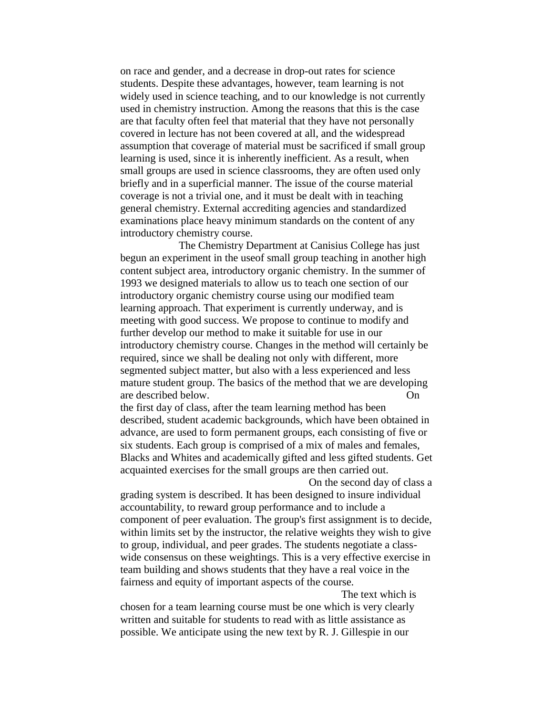on race and gender, and a decrease in drop-out rates for science students. Despite these advantages, however, team learning is not widely used in science teaching, and to our knowledge is not currently used in chemistry instruction. Among the reasons that this is the case are that faculty often feel that material that they have not personally covered in lecture has not been covered at all, and the widespread assumption that coverage of material must be sacrificed if small group learning is used, since it is inherently inefficient. As a result, when small groups are used in science classrooms, they are often used only briefly and in a superficial manner. The issue of the course material coverage is not a trivial one, and it must be dealt with in teaching general chemistry. External accrediting agencies and standardized examinations place heavy minimum standards on the content of any introductory chemistry course.

The Chemistry Department at Canisius College has just begun an experiment in the useof small group teaching in another high content subject area, introductory organic chemistry. In the summer of 1993 we designed materials to allow us to teach one section of our introductory organic chemistry course using our modified team learning approach. That experiment is currently underway, and is meeting with good success. We propose to continue to modify and further develop our method to make it suitable for use in our introductory chemistry course. Changes in the method will certainly be required, since we shall be dealing not only with different, more segmented subject matter, but also with a less experienced and less mature student group. The basics of the method that we are developing are described below. On

the first day of class, after the team learning method has been described, student academic backgrounds, which have been obtained in advance, are used to form permanent groups, each consisting of five or six students. Each group is comprised of a mix of males and females, Blacks and Whites and academically gifted and less gifted students. Get acquainted exercises for the small groups are then carried out.

On the second day of class a grading system is described. It has been designed to insure individual accountability, to reward group performance and to include a component of peer evaluation. The group's first assignment is to decide, within limits set by the instructor, the relative weights they wish to give to group, individual, and peer grades. The students negotiate a classwide consensus on these weightings. This is a very effective exercise in team building and shows students that they have a real voice in the fairness and equity of important aspects of the course.

The text which is chosen for a team learning course must be one which is very clearly written and suitable for students to read with as little assistance as possible. We anticipate using the new text by R. J. Gillespie in our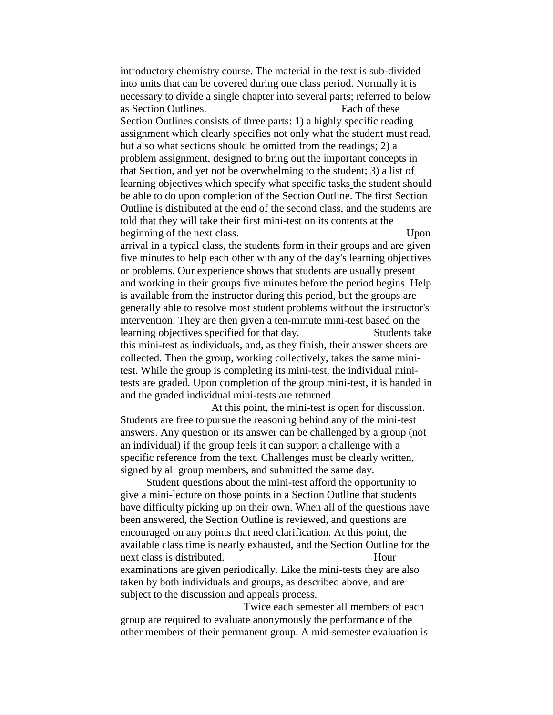introductory chemistry course. The material in the text is sub-divided into units that can be covered during one class period. Normally it is necessary to divide a single chapter into several parts; referred to below as Section Outlines. Each of these Section Outlines consists of three parts: 1) a highly specific reading assignment which clearly specifies not only what the student must read, but also what sections should be omitted from the readings; 2) a problem assignment, designed to bring out the important concepts in that Section, and yet not be overwhelming to the student; 3) a list of learning objectives which specify what specific tasks the student should be able to do upon completion of the Section Outline. The first Section Outline is distributed at the end of the second class, and the students are told that they will take their first mini-test on its contents at the beginning of the next class. Upon arrival in a typical class, the students form in their groups and are given five minutes to help each other with any of the day's learning objectives or problems. Our experience shows that students are usually present and working in their groups five minutes before the period begins. Help is available from the instructor during this period, but the groups are generally able to resolve most student problems without the instructor's intervention. They are then given a ten-minute mini-test based on the learning objectives specified for that day. Students take this mini-test as individuals, and, as they finish, their answer sheets are collected. Then the group, working collectively, takes the same minitest. While the group is completing its mini-test, the individual minitests are graded. Upon completion of the group mini-test, it is handed in and the graded individual mini-tests are returned.

At this point, the mini-test is open for discussion. Students are free to pursue the reasoning behind any of the mini-test answers. Any question or its answer can be challenged by a group (not an individual) if the group feels it can support a challenge with a specific reference from the text. Challenges must be clearly written, signed by all group members, and submitted the same day.

Student questions about the mini-test afford the opportunity to give a mini-lecture on those points in a Section Outline that students have difficulty picking up on their own. When all of the questions have been answered, the Section Outline is reviewed, and questions are encouraged on any points that need clarification. At this point, the available class time is nearly exhausted, and the Section Outline for the next class is distributed. Hour examinations are given periodically. Like the mini-tests they are also taken by both individuals and groups, as described above, and are subject to the discussion and appeals process.

Twice each semester all members of each group are required to evaluate anonymously the performance of the other members of their permanent group. A mid-semester evaluation is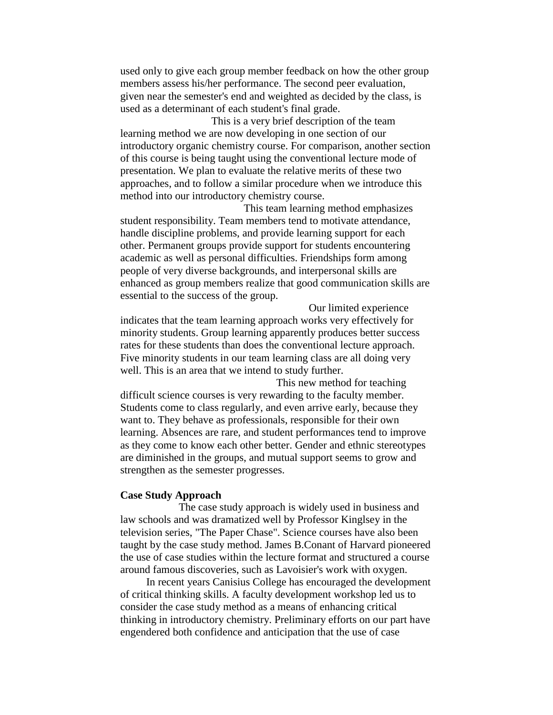used only to give each group member feedback on how the other group members assess his/her performance. The second peer evaluation, given near the semester's end and weighted as decided by the class, is used as a determinant of each student's final grade.

This is a very brief description of the team learning method we are now developing in one section of our introductory organic chemistry course. For comparison, another section of this course is being taught using the conventional lecture mode of presentation. We plan to evaluate the relative merits of these two approaches, and to follow a similar procedure when we introduce this method into our introductory chemistry course.

This team learning method emphasizes student responsibility. Team members tend to motivate attendance, handle discipline problems, and provide learning support for each other. Permanent groups provide support for students encountering academic as well as personal difficulties. Friendships form among people of very diverse backgrounds, and interpersonal skills are enhanced as group members realize that good communication skills are essential to the success of the group.

Our limited experience indicates that the team learning approach works very effectively for minority students. Group learning apparently produces better success rates for these students than does the conventional lecture approach. Five minority students in our team learning class are all doing very well. This is an area that we intend to study further.

This new method for teaching difficult science courses is very rewarding to the faculty member. Students come to class regularly, and even arrive early, because they want to. They behave as professionals, responsible for their own learning. Absences are rare, and student performances tend to improve as they come to know each other better. Gender and ethnic stereotypes are diminished in the groups, and mutual support seems to grow and strengthen as the semester progresses.

#### **Case Study Approach**

The case study approach is widely used in business and law schools and was dramatized well by Professor Kinglsey in the television series, "The Paper Chase". Science courses have also been taught by the case study method. James B.Conant of Harvard pioneered the use of case studies within the lecture format and structured a course around famous discoveries, such as Lavoisier's work with oxygen.

In recent years Canisius College has encouraged the development of critical thinking skills. A faculty development workshop led us to consider the case study method as a means of enhancing critical thinking in introductory chemistry. Preliminary efforts on our part have engendered both confidence and anticipation that the use of case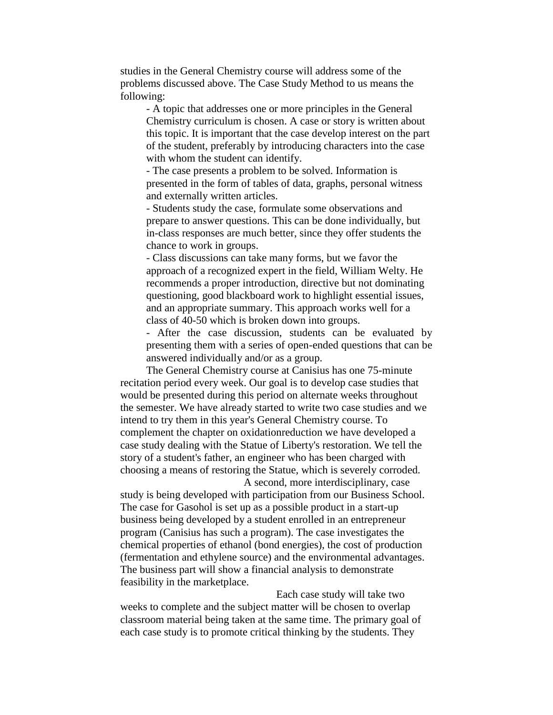studies in the General Chemistry course will address some of the problems discussed above. The Case Study Method to us means the following:

- A topic that addresses one or more principles in the General Chemistry curriculum is chosen. A case or story is written about this topic. It is important that the case develop interest on the part of the student, preferably by introducing characters into the case with whom the student can identify.

- The case presents a problem to be solved. Information is presented in the form of tables of data, graphs, personal witness and externally written articles.

- Students study the case, formulate some observations and prepare to answer questions. This can be done individually, but in-class responses are much better, since they offer students the chance to work in groups.

- Class discussions can take many forms, but we favor the approach of a recognized expert in the field, William Welty. He recommends a proper introduction, directive but not dominating questioning, good blackboard work to highlight essential issues, and an appropriate summary. This approach works well for a class of 40-50 which is broken down into groups.

- After the case discussion, students can be evaluated by presenting them with a series of open-ended questions that can be answered individually and/or as a group.

The General Chemistry course at Canisius has one 75-minute recitation period every week. Our goal is to develop case studies that would be presented during this period on alternate weeks throughout the semester. We have already started to write two case studies and we intend to try them in this year's General Chemistry course. To complement the chapter on oxidationreduction we have developed a case study dealing with the Statue of Liberty's restoration. We tell the story of a student's father, an engineer who has been charged with choosing a means of restoring the Statue, which is severely corroded.

A second, more interdisciplinary, case study is being developed with participation from our Business School. The case for Gasohol is set up as a possible product in a start-up business being developed by a student enrolled in an entrepreneur program (Canisius has such a program). The case investigates the chemical properties of ethanol (bond energies), the cost of production (fermentation and ethylene source) and the environmental advantages. The business part will show a financial analysis to demonstrate feasibility in the marketplace.

Each case study will take two weeks to complete and the subject matter will be chosen to overlap classroom material being taken at the same time. The primary goal of each case study is to promote critical thinking by the students. They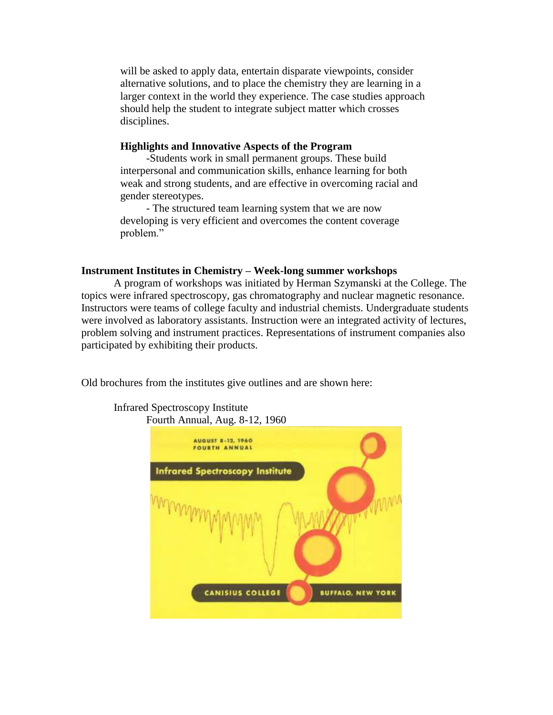will be asked to apply data, entertain disparate viewpoints, consider alternative solutions, and to place the chemistry they are learning in a larger context in the world they experience. The case studies approach should help the student to integrate subject matter which crosses disciplines.

# **Highlights and Innovative Aspects of the Program**

-Students work in small permanent groups. These build interpersonal and communication skills, enhance learning for both weak and strong students, and are effective in overcoming racial and gender stereotypes.

- The structured team learning system that we are now developing is very efficient and overcomes the content coverage problem."

# **Instrument Institutes in Chemistry – Week-long summer workshops**

A program of workshops was initiated by Herman Szymanski at the College. The topics were infrared spectroscopy, gas chromatography and nuclear magnetic resonance. Instructors were teams of college faculty and industrial chemists. Undergraduate students were involved as laboratory assistants. Instruction were an integrated activity of lectures, problem solving and instrument practices. Representations of instrument companies also participated by exhibiting their products.

Old brochures from the institutes give outlines and are shown here:

Infrared Spectroscopy Institute

Fourth Annual, Aug. 8-12, 1960**AUGUST 8-12, 1960 FOURTH ANNUAL Infrared Spectroscopy Institute** CANISIUS COLLEGE *BUFFALO, NEW YORK*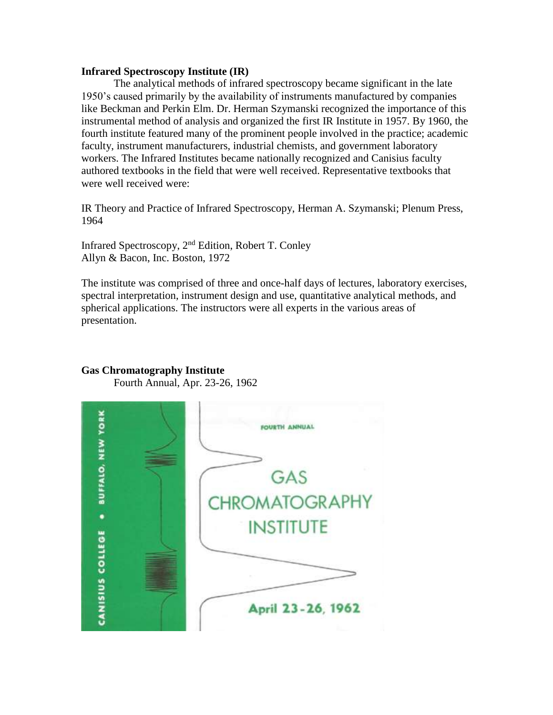#### **Infrared Spectroscopy Institute (IR)**

The analytical methods of infrared spectroscopy became significant in the late 1950's caused primarily by the availability of instruments manufactured by companies like Beckman and Perkin Elm. Dr. Herman Szymanski recognized the importance of this instrumental method of analysis and organized the first IR Institute in 1957. By 1960, the fourth institute featured many of the prominent people involved in the practice; academic faculty, instrument manufacturers, industrial chemists, and government laboratory workers. The Infrared Institutes became nationally recognized and Canisius faculty authored textbooks in the field that were well received. Representative textbooks that were well received were:

IR Theory and Practice of Infrared Spectroscopy, Herman A. Szymanski; Plenum Press, 1964

Infrared Spectroscopy, 2nd Edition, Robert T. Conley Allyn & Bacon, Inc. Boston, 1972

The institute was comprised of three and once-half days of lectures, laboratory exercises, spectral interpretation, instrument design and use, quantitative analytical methods, and spherical applications. The instructors were all experts in the various areas of presentation.

# **Gas Chromatography Institute**

Fourth Annual, Apr. 23-26, 1962

. BUFFALO, NEW YORK FOURTH ANNUAL GAS **CHROMATOGRAPHY INSTITUTE** CANISIUS COLLEGE April 23-26, 1962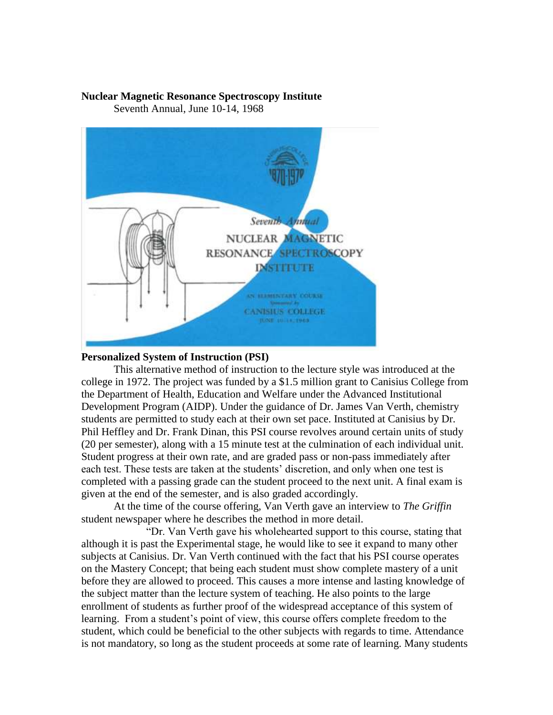# **Nuclear Magnetic Resonance Spectroscopy Institute**

Seventh Annual, June 10-14, 1968



# **Personalized System of Instruction (PSI)**

This alternative method of instruction to the lecture style was introduced at the college in 1972. The project was funded by a \$1.5 million grant to Canisius College from the Department of Health, Education and Welfare under the Advanced Institutional Development Program (AIDP). Under the guidance of Dr. James Van Verth, chemistry students are permitted to study each at their own set pace. Instituted at Canisius by Dr. Phil Heffley and Dr. Frank Dinan, this PSI course revolves around certain units of study (20 per semester), along with a 15 minute test at the culmination of each individual unit. Student progress at their own rate, and are graded pass or non-pass immediately after each test. These tests are taken at the students' discretion, and only when one test is completed with a passing grade can the student proceed to the next unit. A final exam is given at the end of the semester, and is also graded accordingly.

At the time of the course offering, Van Verth gave an interview to *The Griffin* student newspaper where he describes the method in more detail.

"Dr. Van Verth gave his wholehearted support to this course, stating that although it is past the Experimental stage, he would like to see it expand to many other subjects at Canisius. Dr. Van Verth continued with the fact that his PSI course operates on the Mastery Concept; that being each student must show complete mastery of a unit before they are allowed to proceed. This causes a more intense and lasting knowledge of the subject matter than the lecture system of teaching. He also points to the large enrollment of students as further proof of the widespread acceptance of this system of learning. From a student's point of view, this course offers complete freedom to the student, which could be beneficial to the other subjects with regards to time. Attendance is not mandatory, so long as the student proceeds at some rate of learning. Many students